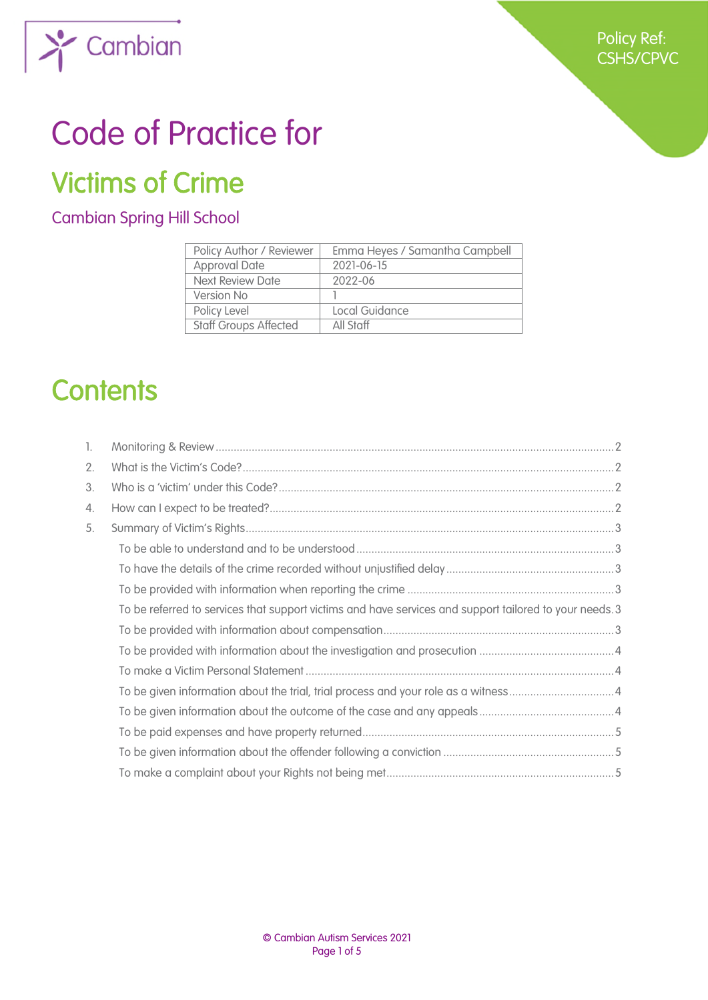

# Code of Practice for

## Victims of Crime

### Cambian Spring Hill School

| Policy Author / Reviewer     | Emma Heyes / Samantha Campbell |
|------------------------------|--------------------------------|
| <b>Approval Date</b>         | 2021-06-15                     |
| Next Review Date             | 2022-06                        |
| Version No                   |                                |
| Policy Level                 | Local Guidance                 |
| <b>Staff Groups Affected</b> | All Staff                      |

## **Contents**

| 1. |                                                                                                         |  |
|----|---------------------------------------------------------------------------------------------------------|--|
| 2. |                                                                                                         |  |
| 3. |                                                                                                         |  |
| 4. |                                                                                                         |  |
| 5. |                                                                                                         |  |
|    |                                                                                                         |  |
|    |                                                                                                         |  |
|    |                                                                                                         |  |
|    | To be referred to services that support victims and have services and support tailored to your needs. 3 |  |
|    |                                                                                                         |  |
|    |                                                                                                         |  |
|    |                                                                                                         |  |
|    |                                                                                                         |  |
|    |                                                                                                         |  |
|    |                                                                                                         |  |
|    |                                                                                                         |  |
|    |                                                                                                         |  |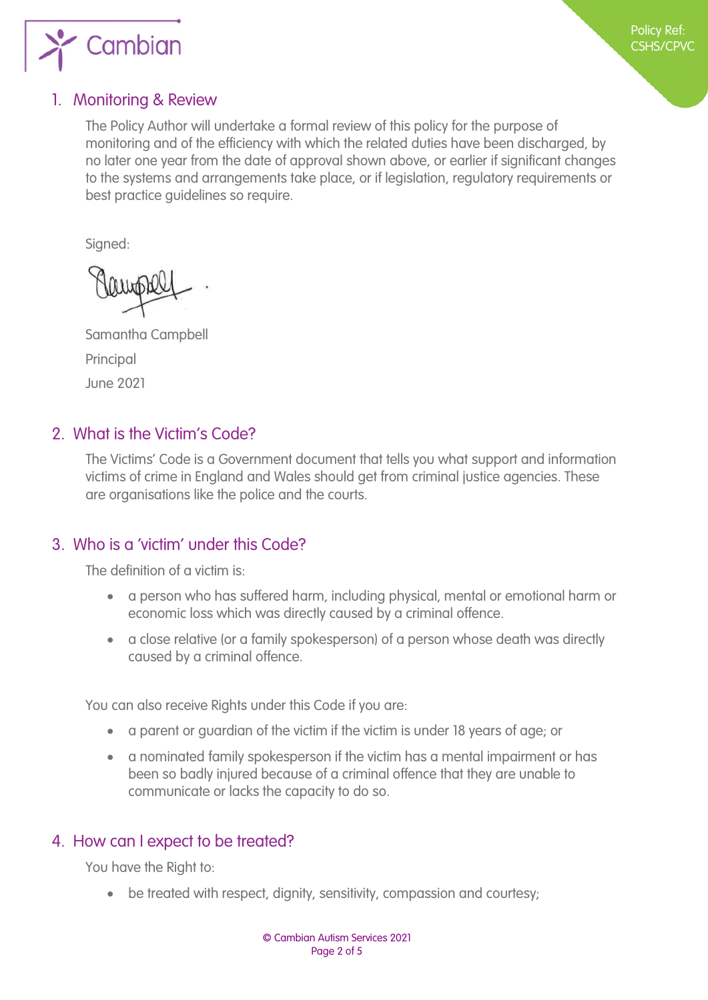

#### <span id="page-1-0"></span>1. Monitoring & Review

The Policy Author will undertake a formal review of this policy for the purpose of monitoring and of the efficiency with which the related duties have been discharged, by no later one year from the date of approval shown above, or earlier if significant changes to the systems and arrangements take place, or if legislation, regulatory requirements or best practice guidelines so require.

Signed:

Samantha Campbell Principal June 2021

#### <span id="page-1-1"></span>2. What is the Victim's Code?

The Victims' Code is a Government document that tells you what support and information victims of crime in England and Wales should get from criminal justice agencies. These are organisations like the police and the courts.

#### <span id="page-1-2"></span>3. Who is a 'victim' under this Code?

The definition of a victim is:

- a person who has suffered harm, including physical, mental or emotional harm or economic loss which was directly caused by a criminal offence.
- a close relative (or a family spokesperson) of a person whose death was directly caused by a criminal offence.

You can also receive Rights under this Code if you are:

- a parent or guardian of the victim if the victim is under 18 years of age; or
- a nominated family spokesperson if the victim has a mental impairment or has been so badly injured because of a criminal offence that they are unable to communicate or lacks the capacity to do so.

#### <span id="page-1-3"></span>4. How can I expect to be treated?

You have the Right to:

• be treated with respect, dignity, sensitivity, compassion and courtesy: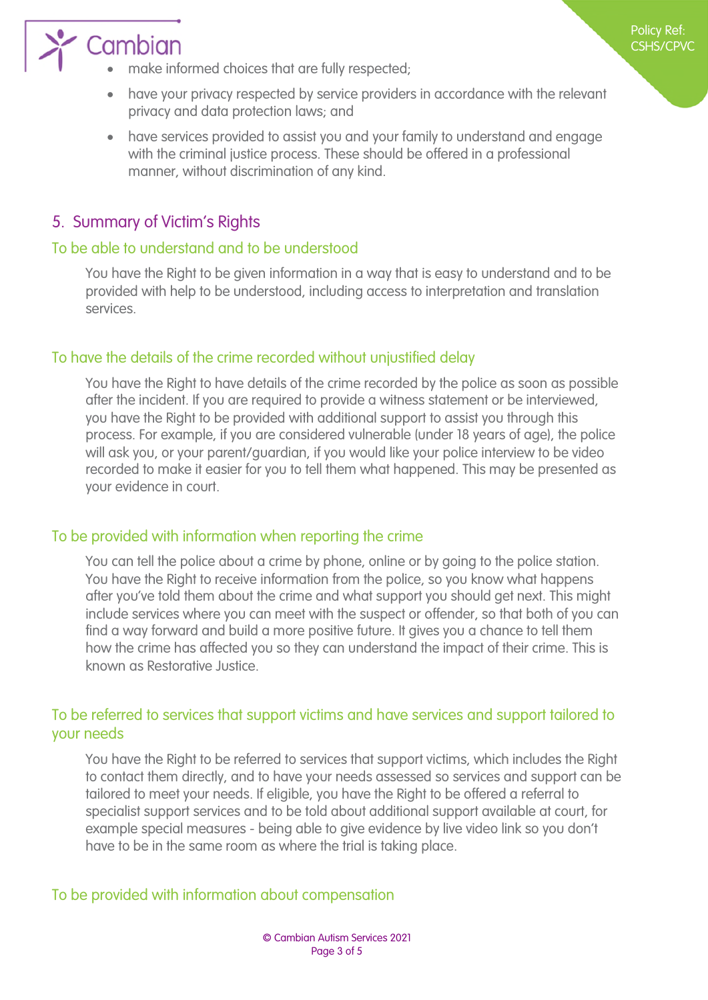

- make informed choices that are fully respected;
- have your privacy respected by service providers in accordance with the relevant privacy and data protection laws; and
- have services provided to assist you and your family to understand and engage with the criminal justice process. These should be offered in a professional manner, without discrimination of any kind.

#### <span id="page-2-0"></span>5. Summary of Victim's Rights

#### <span id="page-2-1"></span>To be able to understand and to be understood

You have the Right to be given information in a way that is easy to understand and to be provided with help to be understood, including access to interpretation and translation services.

#### <span id="page-2-2"></span>To have the details of the crime recorded without unjustified delay

You have the Right to have details of the crime recorded by the police as soon as possible after the incident. If you are required to provide a witness statement or be interviewed, you have the Right to be provided with additional support to assist you through this process. For example, if you are considered vulnerable (under 18 years of age), the police will ask you, or your parent/guardian, if you would like your police interview to be video recorded to make it easier for you to tell them what happened. This may be presented as your evidence in court.

#### <span id="page-2-3"></span>To be provided with information when reporting the crime

You can tell the police about a crime by phone, online or by going to the police station. You have the Right to receive information from the police, so you know what happens after you've told them about the crime and what support you should get next. This might include services where you can meet with the suspect or offender, so that both of you can find a way forward and build a more positive future. It gives you a chance to tell them how the crime has affected you so they can understand the impact of their crime. This is known as Restorative Justice.

#### <span id="page-2-4"></span>To be referred to services that support victims and have services and support tailored to your needs

You have the Right to be referred to services that support victims, which includes the Right to contact them directly, and to have your needs assessed so services and support can be tailored to meet your needs. If eligible, you have the Right to be offered a referral to specialist support services and to be told about additional support available at court, for example special measures - being able to give evidence by live video link so you don't have to be in the same room as where the trial is taking place.

#### <span id="page-2-5"></span>To be provided with information about compensation

Policy Ref: CSHS/CPVC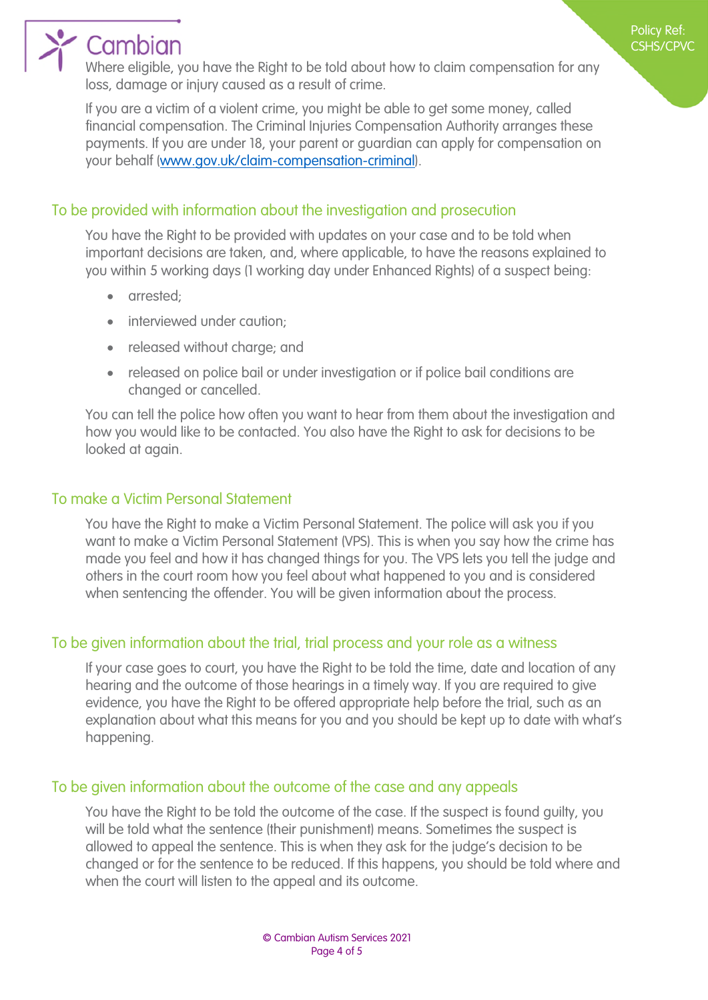## $\sum$  Cambian

Where eligible, you have the Right to be told about how to claim compensation for any loss, damage or injury caused as a result of crime.

If you are a victim of a violent crime, you might be able to get some money, called financial compensation. The Criminal Injuries Compensation Authority arranges these payments. If you are under 18, your parent or guardian can apply for compensation on your behalf ([www.gov.uk/claim-compensation-criminal\)](http://www.gov.uk/claim-compensation-criminal).

#### <span id="page-3-0"></span>To be provided with information about the investigation and prosecution

You have the Right to be provided with updates on your case and to be told when important decisions are taken, and, where applicable, to have the reasons explained to you within 5 working days (1 working day under Enhanced Rights) of a suspect being:

- arrested:
- interviewed under caution;
- released without charge; and
- released on police bail or under investigation or if police bail conditions are changed or cancelled.

You can tell the police how often you want to hear from them about the investigation and how you would like to be contacted. You also have the Right to ask for decisions to be looked at again.

#### <span id="page-3-1"></span>To make a Victim Personal Statement

You have the Right to make a Victim Personal Statement. The police will ask you if you want to make a Victim Personal Statement (VPS). This is when you say how the crime has made you feel and how it has changed things for you. The VPS lets you tell the judge and others in the court room how you feel about what happened to you and is considered when sentencing the offender. You will be given information about the process.

### <span id="page-3-2"></span>To be given information about the trial, trial process and your role as a witness

If your case goes to court, you have the Right to be told the time, date and location of any hearing and the outcome of those hearings in a timely way. If you are required to give evidence, you have the Right to be offered appropriate help before the trial, such as an explanation about what this means for you and you should be kept up to date with what's happening.

#### <span id="page-3-3"></span>To be given information about the outcome of the case and any appeals

You have the Right to be told the outcome of the case. If the suspect is found guilty, you will be told what the sentence (their punishment) means. Sometimes the suspect is allowed to appeal the sentence. This is when they ask for the judge's decision to be changed or for the sentence to be reduced. If this happens, you should be told where and when the court will listen to the appeal and its outcome.

Policy Ref: CSHS/CPVC